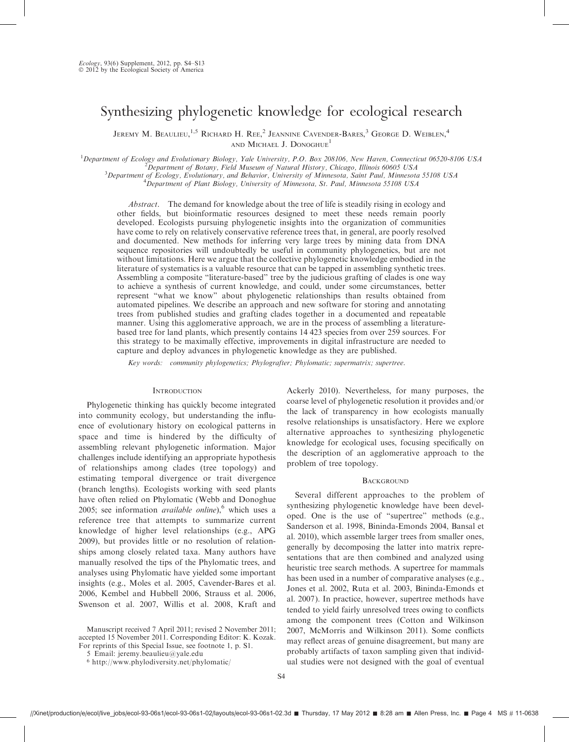# Synthesizing phylogenetic knowledge for ecological research

Jeremy M. Beaulieu,<sup>1,5</sup> Richard H. Ree,<sup>2</sup> Jeannine Cavender-Bares,<sup>3</sup> George D. Weiblen,<sup>4</sup> AND MICHAEL J. DONOGHUE<sup>1</sup>

<sup>1</sup>Department of Ecology and Evolutionary Biology, Yale University, P.O. Box 208106, New Haven, Connecticut 06520-8106 USA<br><sup>2</sup>Department of Botany Field Museum of Natural History Chicago, Illinois 60605 USA <sup>2</sup>Department of Botany, Field Museum of Natural History, Chicago, Illinois 60605 USA<br><sup>3</sup>Department of Ecology, Evolutionary, and Behavior, University of Minnesota, Saint Paul, Minnesota <sup>3</sup>Department of Ecology, Evolutionary, and Behavior, University of Minnesota, Saint Paul, Minnesota 55108 USA  $^{4}$ Department of Plant Biology, University of Minnesota, St. Paul, Minnesota 55108 USA

Abstract. The demand for knowledge about the tree of life is steadily rising in ecology and other fields, but bioinformatic resources designed to meet these needs remain poorly developed. Ecologists pursuing phylogenetic insights into the organization of communities have come to rely on relatively conservative reference trees that, in general, are poorly resolved and documented. New methods for inferring very large trees by mining data from DNA sequence repositories will undoubtedly be useful in community phylogenetics, but are not without limitations. Here we argue that the collective phylogenetic knowledge embodied in the literature of systematics is a valuable resource that can be tapped in assembling synthetic trees. Assembling a composite ''literature-based'' tree by the judicious grafting of clades is one way to achieve a synthesis of current knowledge, and could, under some circumstances, better represent ''what we know'' about phylogenetic relationships than results obtained from automated pipelines. We describe an approach and new software for storing and annotating trees from published studies and grafting clades together in a documented and repeatable manner. Using this agglomerative approach, we are in the process of assembling a literaturebased tree for land plants, which presently contains 14 423 species from over 259 sources. For this strategy to be maximally effective, improvements in digital infrastructure are needed to capture and deploy advances in phylogenetic knowledge as they are published.

Key words: community phylogenetics; Phylografter; Phylomatic; supermatrix; supertree.

### **INTRODUCTION**

Phylogenetic thinking has quickly become integrated into community ecology, but understanding the influence of evolutionary history on ecological patterns in space and time is hindered by the difficulty of assembling relevant phylogenetic information. Major challenges include identifying an appropriate hypothesis of relationships among clades (tree topology) and estimating temporal divergence or trait divergence (branch lengths). Ecologists working with seed plants have often relied on Phylomatic (Webb and Donoghue 2005; see information *available online*),<sup>6</sup> which uses a reference tree that attempts to summarize current knowledge of higher level relationships (e.g., APG 2009), but provides little or no resolution of relationships among closely related taxa. Many authors have manually resolved the tips of the Phylomatic trees, and analyses using Phylomatic have yielded some important insights (e.g., Moles et al. 2005, Cavender-Bares et al. 2006, Kembel and Hubbell 2006, Strauss et al. 2006, Swenson et al. 2007, Willis et al. 2008, Kraft and

Manuscript received 7 April 2011; revised 2 November 2011; accepted 15 November 2011. Corresponding Editor: K. Kozak. For reprints of this Special Issue, see footnote 1, p. S1.

5 Email: jeremy.beaulieu@yale.edu

<sup>6</sup> http://www.phylodiversity.net/phylomatic/

Ackerly 2010). Nevertheless, for many purposes, the coarse level of phylogenetic resolution it provides and/or the lack of transparency in how ecologists manually resolve relationships is unsatisfactory. Here we explore alternative approaches to synthesizing phylogenetic knowledge for ecological uses, focusing specifically on the description of an agglomerative approach to the problem of tree topology.

# **BACKGROUND**

Several different approaches to the problem of synthesizing phylogenetic knowledge have been developed. One is the use of ''supertree'' methods (e.g., Sanderson et al. 1998, Bininda-Emonds 2004, Bansal et al. 2010), which assemble larger trees from smaller ones, generally by decomposing the latter into matrix representations that are then combined and analyzed using heuristic tree search methods. A supertree for mammals has been used in a number of comparative analyses (e.g., Jones et al. 2002, Ruta et al. 2003, Bininda-Emonds et al. 2007). In practice, however, supertree methods have tended to yield fairly unresolved trees owing to conflicts among the component trees (Cotton and Wilkinson 2007, McMorris and Wilkinson 2011). Some conflicts may reflect areas of genuine disagreement, but many are probably artifacts of taxon sampling given that individual studies were not designed with the goal of eventual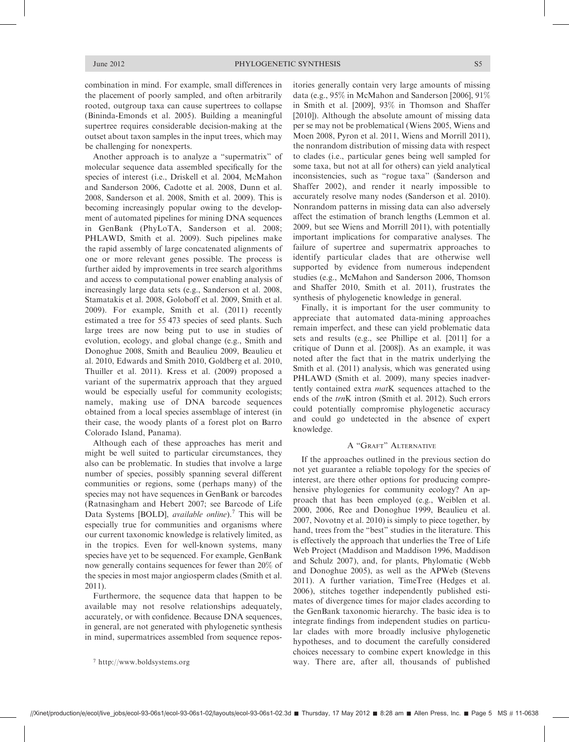combination in mind. For example, small differences in the placement of poorly sampled, and often arbitrarily rooted, outgroup taxa can cause supertrees to collapse (Bininda-Emonds et al. 2005). Building a meaningful supertree requires considerable decision-making at the outset about taxon samples in the input trees, which may be challenging for nonexperts.

Another approach is to analyze a ''supermatrix'' of molecular sequence data assembled specifically for the species of interest (i.e., Driskell et al. 2004, McMahon and Sanderson 2006, Cadotte et al. 2008, Dunn et al. 2008, Sanderson et al. 2008, Smith et al. 2009). This is becoming increasingly popular owing to the development of automated pipelines for mining DNA sequences in GenBank (PhyLoTA, Sanderson et al. 2008; PHLAWD, Smith et al. 2009). Such pipelines make the rapid assembly of large concatenated alignments of one or more relevant genes possible. The process is further aided by improvements in tree search algorithms and access to computational power enabling analysis of increasingly large data sets (e.g., Sanderson et al. 2008, Stamatakis et al. 2008, Goloboff et al. 2009, Smith et al. 2009). For example, Smith et al. (2011) recently estimated a tree for 55 473 species of seed plants. Such large trees are now being put to use in studies of evolution, ecology, and global change (e.g., Smith and Donoghue 2008, Smith and Beaulieu 2009, Beaulieu et al. 2010, Edwards and Smith 2010, Goldberg et al. 2010, Thuiller et al. 2011). Kress et al. (2009) proposed a variant of the supermatrix approach that they argued would be especially useful for community ecologists; namely, making use of DNA barcode sequences obtained from a local species assemblage of interest (in their case, the woody plants of a forest plot on Barro Colorado Island, Panama).

Although each of these approaches has merit and might be well suited to particular circumstances, they also can be problematic. In studies that involve a large number of species, possibly spanning several different communities or regions, some (perhaps many) of the species may not have sequences in GenBank or barcodes (Ratnasingham and Hebert 2007; see Barcode of Life Data Systems [BOLD], *available online*).<sup>7</sup> This will be especially true for communities and organisms where our current taxonomic knowledge is relatively limited, as in the tropics. Even for well-known systems, many species have yet to be sequenced. For example, GenBank now generally contains sequences for fewer than 20% of the species in most major angiosperm clades (Smith et al. 2011).

Furthermore, the sequence data that happen to be available may not resolve relationships adequately, accurately, or with confidence. Because DNA sequences, in general, are not generated with phylogenetic synthesis in mind, supermatrices assembled from sequence repos-

itories generally contain very large amounts of missing data (e.g., 95% in McMahon and Sanderson [2006], 91% in Smith et al. [2009], 93% in Thomson and Shaffer [2010]). Although the absolute amount of missing data per se may not be problematical (Wiens 2005, Wiens and Moen 2008, Pyron et al. 2011, Wiens and Morrill 2011), the nonrandom distribution of missing data with respect to clades (i.e., particular genes being well sampled for some taxa, but not at all for others) can yield analytical inconsistencies, such as ''rogue taxa'' (Sanderson and Shaffer 2002), and render it nearly impossible to accurately resolve many nodes (Sanderson et al. 2010). Nonrandom patterns in missing data can also adversely affect the estimation of branch lengths (Lemmon et al. 2009, but see Wiens and Morrill 2011), with potentially important implications for comparative analyses. The failure of supertree and supermatrix approaches to identify particular clades that are otherwise well supported by evidence from numerous independent studies (e.g., McMahon and Sanderson 2006, Thomson and Shaffer 2010, Smith et al. 2011), frustrates the synthesis of phylogenetic knowledge in general.

Finally, it is important for the user community to appreciate that automated data-mining approaches remain imperfect, and these can yield problematic data sets and results (e.g., see Phillipe et al. [2011] for a critique of Dunn et al. [2008]). As an example, it was noted after the fact that in the matrix underlying the Smith et al. (2011) analysis, which was generated using PHLAWD (Smith et al. 2009), many species inadvertently contained extra matK sequences attached to the ends of the trnK intron (Smith et al. 2012). Such errors could potentially compromise phylogenetic accuracy and could go undetected in the absence of expert knowledge.

# A ''GRAFT'' ALTERNATIVE

If the approaches outlined in the previous section do not yet guarantee a reliable topology for the species of interest, are there other options for producing comprehensive phylogenies for community ecology? An approach that has been employed (e.g., Weiblen et al. 2000, 2006, Ree and Donoghue 1999, Beaulieu et al. 2007, Novotny et al. 2010) is simply to piece together, by hand, trees from the "best" studies in the literature. This is effectively the approach that underlies the Tree of Life Web Project (Maddison and Maddison 1996, Maddison and Schulz 2007), and, for plants, Phylomatic (Webb and Donoghue 2005), as well as the APWeb (Stevens 2011). A further variation, TimeTree (Hedges et al. 2006), stitches together independently published estimates of divergence times for major clades according to the GenBank taxonomic hierarchy. The basic idea is to integrate findings from independent studies on particular clades with more broadly inclusive phylogenetic hypotheses, and to document the carefully considered choices necessary to combine expert knowledge in this <sup>7</sup> http://www.boldsystems.org way. There are, after all, thousands of published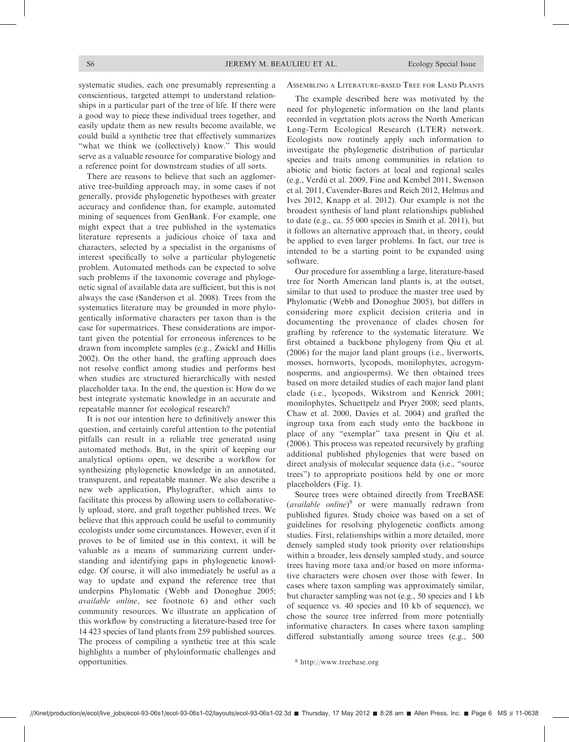systematic studies, each one presumably representing a conscientious, targeted attempt to understand relationships in a particular part of the tree of life. If there were a good way to piece these individual trees together, and easily update them as new results become available, we could build a synthetic tree that effectively summarizes "what we think we (collectively) know." This would serve as a valuable resource for comparative biology and a reference point for downstream studies of all sorts.

There are reasons to believe that such an agglomerative tree-building approach may, in some cases if not generally, provide phylogenetic hypotheses with greater accuracy and confidence than, for example, automated mining of sequences from GenBank. For example, one might expect that a tree published in the systematics literature represents a judicious choice of taxa and characters, selected by a specialist in the organisms of interest specifically to solve a particular phylogenetic problem. Automated methods can be expected to solve such problems if the taxonomic coverage and phylogenetic signal of available data are sufficient, but this is not always the case (Sanderson et al. 2008). Trees from the systematics literature may be grounded in more phylogentically informative characters per taxon than is the case for supermatrices. These considerations are important given the potential for erroneous inferences to be drawn from incomplete samples (e.g., Zwickl and Hillis 2002). On the other hand, the grafting approach does not resolve conflict among studies and performs best when studies are structured hierarchically with nested placeholder taxa. In the end, the question is: How do we best integrate systematic knowledge in an accurate and repeatable manner for ecological research?

It is not our intention here to definitively answer this question, and certainly careful attention to the potential pitfalls can result in a reliable tree generated using automated methods. But, in the spirit of keeping our analytical options open, we describe a workflow for synthesizing phylogenetic knowledge in an annotated, transparent, and repeatable manner. We also describe a new web application, Phylografter, which aims to facilitate this process by allowing users to collaboratively upload, store, and graft together published trees. We believe that this approach could be useful to community ecologists under some circumstances. However, even if it proves to be of limited use in this context, it will be valuable as a means of summarizing current understanding and identifying gaps in phylogenetic knowledge. Of course, it will also immediately be useful as a way to update and expand the reference tree that underpins Phylomatic (Webb and Donoghue 2005; available online, see footnote 6) and other such community resources. We illustrate an application of this workflow by constructing a literature-based tree for 14 423 species of land plants from 259 published sources. The process of compiling a synthetic tree at this scale highlights a number of phyloinformatic challenges and opportunities.

ASSEMBLING A LITERATURE-BASED TREE FOR LAND PLANTS

The example described here was motivated by the need for phylogenetic information on the land plants recorded in vegetation plots across the North American Long-Term Ecological Research (LTER) network. Ecologists now routinely apply such information to investigate the phylogenetic distribution of particular species and traits among communities in relation to abiotic and biotic factors at local and regional scales (e.g., Verdú et al. 2009, Fine and Kembel 2011, Swenson et al. 2011, Cavender-Bares and Reich 2012, Helmus and Ives 2012, Knapp et al. 2012). Our example is not the broadest synthesis of land plant relationships published to date (e.g., ca. 55 000 species in Smith et al. 2011), but it follows an alternative approach that, in theory, could be applied to even larger problems. In fact, our tree is intended to be a starting point to be expanded using software.

Our procedure for assembling a large, literature-based tree for North American land plants is, at the outset, similar to that used to produce the master tree used by Phylomatic (Webb and Donoghue 2005), but differs in considering more explicit decision criteria and in documenting the provenance of clades chosen for grafting by reference to the systematic literature. We first obtained a backbone phylogeny from Qiu et al. (2006) for the major land plant groups (i.e., liverworts, mosses, hornworts, lycopods, monilophytes, acrogymnosperms, and angiosperms). We then obtained trees based on more detailed studies of each major land plant clade (i.e., lycopods, Wikstrom and Kenrick 2001; monilophytes, Schuettpelz and Pryer 2008; seed plants, Chaw et al. 2000, Davies et al. 2004) and grafted the ingroup taxa from each study onto the backbone in place of any ''exemplar'' taxa present in Qiu et al. (2006). This process was repeated recursively by grafting additional published phylogenies that were based on direct analysis of molecular sequence data (i.e., ''source trees'') to appropriate positions held by one or more placeholders (Fig. 1).

Source trees were obtained directly from TreeBASE  $(available \ online)^8$  or were manually redrawn from published figures. Study choice was based on a set of guidelines for resolving phylogenetic conflicts among studies. First, relationships within a more detailed, more densely sampled study took priority over relationships within a broader, less densely sampled study, and source trees having more taxa and/or based on more informative characters were chosen over those with fewer. In cases where taxon sampling was approximately similar, but character sampling was not (e.g., 50 species and 1 kb of sequence vs. 40 species and 10 kb of sequence), we chose the source tree inferred from more potentially informative characters. In cases where taxon sampling differed substantially among source trees (e.g., 500)

<sup>8</sup> http://www.treebase.org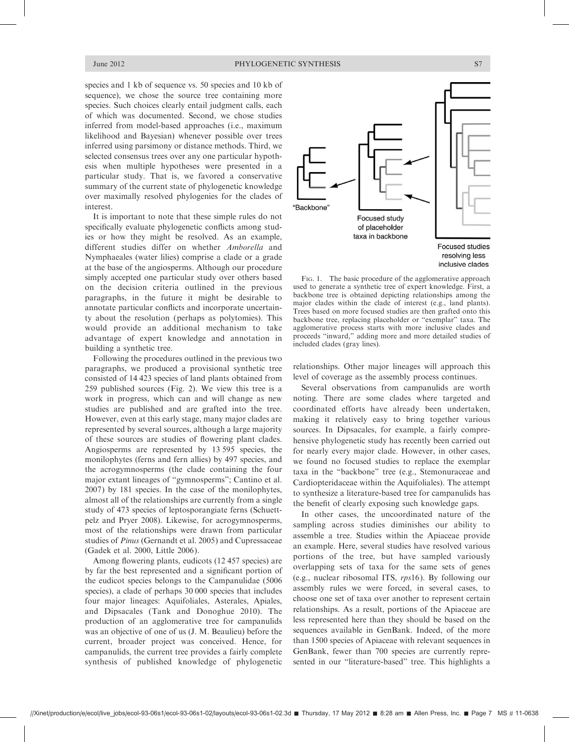species and 1 kb of sequence vs. 50 species and 10 kb of sequence), we chose the source tree containing more species. Such choices clearly entail judgment calls, each of which was documented. Second, we chose studies inferred from model-based approaches (i.e., maximum likelihood and Bayesian) whenever possible over trees inferred using parsimony or distance methods. Third, we selected consensus trees over any one particular hypothesis when multiple hypotheses were presented in a particular study. That is, we favored a conservative summary of the current state of phylogenetic knowledge over maximally resolved phylogenies for the clades of interest.

It is important to note that these simple rules do not specifically evaluate phylogenetic conflicts among studies or how they might be resolved. As an example, different studies differ on whether Amborella and Nymphaeales (water lilies) comprise a clade or a grade at the base of the angiosperms. Although our procedure simply accepted one particular study over others based on the decision criteria outlined in the previous paragraphs, in the future it might be desirable to annotate particular conflicts and incorporate uncertainty about the resolution (perhaps as polytomies). This would provide an additional mechanism to take advantage of expert knowledge and annotation in building a synthetic tree.

Following the procedures outlined in the previous two paragraphs, we produced a provisional synthetic tree consisted of 14 423 species of land plants obtained from 259 published sources (Fig. 2). We view this tree is a work in progress, which can and will change as new studies are published and are grafted into the tree. However, even at this early stage, many major clades are represented by several sources, although a large majority of these sources are studies of flowering plant clades. Angiosperms are represented by 13 595 species, the monilophytes (ferns and fern allies) by 497 species, and the acrogymnosperms (the clade containing the four major extant lineages of ''gymnosperms''; Cantino et al. 2007) by 181 species. In the case of the monilophytes, almost all of the relationships are currently from a single study of 473 species of leptosporangiate ferns (Schuettpelz and Pryer 2008). Likewise, for acrogymnosperms, most of the relationships were drawn from particular studies of Pinus (Gernandt et al. 2005) and Cupressaceae (Gadek et al. 2000, Little 2006).

Among flowering plants, eudicots (12 457 species) are by far the best represented and a significant portion of the eudicot species belongs to the Campanulidae (5006 species), a clade of perhaps 30 000 species that includes four major lineages: Aquifoliales, Asterales, Apiales, and Dipsacales (Tank and Donoghue 2010). The production of an agglomerative tree for campanulids was an objective of one of us (J. M. Beaulieu) before the current, broader project was conceived. Hence, for campanulids, the current tree provides a fairly complete synthesis of published knowledge of phylogenetic



FIG. 1. The basic procedure of the agglomerative approach used to generate a synthetic tree of expert knowledge. First, a backbone tree is obtained depicting relationships among the major clades within the clade of interest (e.g., land plants). Trees based on more focused studies are then grafted onto this backbone tree, replacing placeholder or ''exemplar'' taxa. The agglomerative process starts with more inclusive clades and proceeds ''inward,'' adding more and more detailed studies of included clades (gray lines).

relationships. Other major lineages will approach this level of coverage as the assembly process continues.

Several observations from campanulids are worth noting. There are some clades where targeted and coordinated efforts have already been undertaken, making it relatively easy to bring together various sources. In Dipsacales, for example, a fairly comprehensive phylogenetic study has recently been carried out for nearly every major clade. However, in other cases, we found no focused studies to replace the exemplar taxa in the ''backbone'' tree (e.g., Stemonuraceae and Cardiopteridaceae within the Aquifoliales). The attempt to synthesize a literature-based tree for campanulids has the benefit of clearly exposing such knowledge gaps.

In other cases, the uncoordinated nature of the sampling across studies diminishes our ability to assemble a tree. Studies within the Apiaceae provide an example. Here, several studies have resolved various portions of the tree, but have sampled variously overlapping sets of taxa for the same sets of genes (e.g., nuclear ribosomal ITS, rps16). By following our assembly rules we were forced, in several cases, to choose one set of taxa over another to represent certain relationships. As a result, portions of the Apiaceae are less represented here than they should be based on the sequences available in GenBank. Indeed, of the more than 1500 species of Apiaceae with relevant sequences in GenBank, fewer than 700 species are currently represented in our "literature-based" tree. This highlights a

//Xinet/production/e/ecol/live\_jobs/ecol-93-06s1/ecol-93-06s1-02/layouts/ecol-93-06s1-02.3d ■ Thursday, 17 May 2012 ■ 8:28 am ■ Allen Press, Inc. ■ Page 7 MS # 11-0638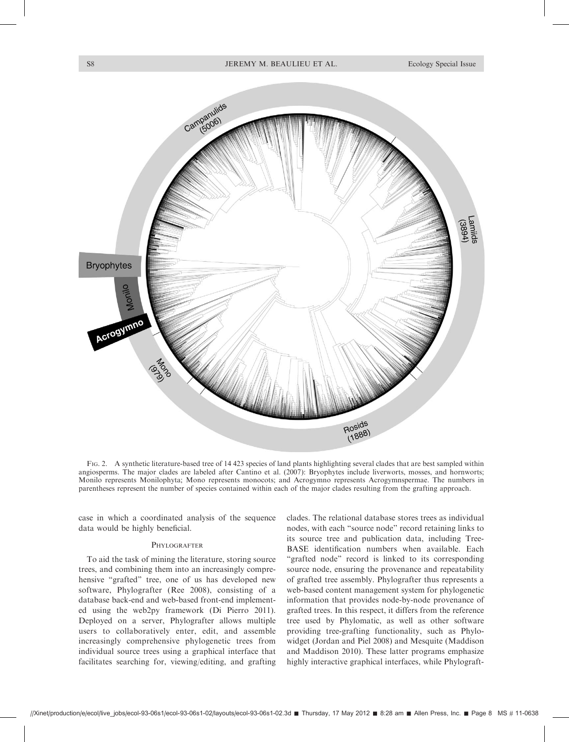

FIG. 2. A synthetic literature-based tree of 14 423 species of land plants highlighting several clades that are best sampled within angiosperms. The major clades are labeled after Cantino et al. (2007): Bryophytes include liverworts, mosses, and hornworts; Monilo represents Monilophyta; Mono represents monocots; and Acrogymno represents Acrogymnspermae. The numbers in parentheses represent the number of species contained within each of the major clades resulting from the grafting approach.

case in which a coordinated analysis of the sequence data would be highly beneficial.

## PHYLOGRAFTER

To aid the task of mining the literature, storing source trees, and combining them into an increasingly comprehensive "grafted" tree, one of us has developed new software, Phylografter (Ree 2008), consisting of a database back-end and web-based front-end implemented using the web2py framework (Di Pierro 2011). Deployed on a server, Phylografter allows multiple users to collaboratively enter, edit, and assemble increasingly comprehensive phylogenetic trees from individual source trees using a graphical interface that facilitates searching for, viewing/editing, and grafting clades. The relational database stores trees as individual nodes, with each ''source node'' record retaining links to its source tree and publication data, including Tree-BASE identification numbers when available. Each "grafted node" record is linked to its corresponding source node, ensuring the provenance and repeatability of grafted tree assembly. Phylografter thus represents a web-based content management system for phylogenetic information that provides node-by-node provenance of grafted trees. In this respect, it differs from the reference tree used by Phylomatic, as well as other software providing tree-grafting functionality, such as Phylowidget (Jordan and Piel 2008) and Mesquite (Maddison and Maddison 2010). These latter programs emphasize highly interactive graphical interfaces, while Phylograft-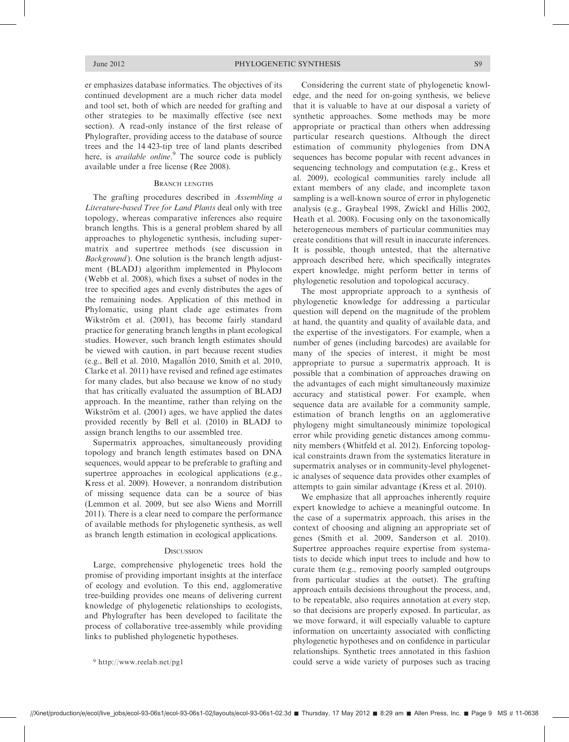er emphasizes database informatics. The objectives of its continued development are a much richer data model and tool set, both of which are needed for grafting and other strategies to be maximally effective (see next section). A read-only instance of the first release of Phylografter, providing access to the database of source trees and the 14 423-tip tree of land plants described here, is *available online*.<sup>9</sup> The source code is publicly available under a free license (Ree 2008).

# BRANCH LENGTHS

The grafting procedures described in Assembling a Literature-based Tree for Land Plants deal only with tree topology, whereas comparative inferences also require branch lengths. This is a general problem shared by all approaches to phylogenetic synthesis, including supermatrix and supertree methods (see discussion in Background). One solution is the branch length adjustment (BLADJ) algorithm implemented in Phylocom (Webb et al. 2008), which fixes a subset of nodes in the tree to specified ages and evenly distributes the ages of the remaining nodes. Application of this method in Phylomatic, using plant clade age estimates from Wikström et al. (2001), has become fairly standard practice for generating branch lengths in plant ecological studies. However, such branch length estimates should be viewed with caution, in part because recent studies (e.g., Bell et al. 2010, Magallón 2010, Smith et al. 2010, Clarke et al. 2011) have revised and refined age estimates for many clades, but also because we know of no study that has critically evaluated the assumption of BLADJ approach. In the meantime, rather than relying on the Wikström et al. (2001) ages, we have applied the dates provided recently by Bell et al. (2010) in BLADJ to assign branch lengths to our assembled tree.

Supermatrix approaches, simultaneously providing topology and branch length estimates based on DNA sequences, would appear to be preferable to grafting and supertree approaches in ecological applications (e.g., Kress et al. 2009). However, a nonrandom distribution of missing sequence data can be a source of bias (Lemmon et al. 2009, but see also Wiens and Morrill 2011). There is a clear need to compare the performance of available methods for phylogenetic synthesis, as well as branch length estimation in ecological applications.

## **DISCUSSION**

Large, comprehensive phylogenetic trees hold the promise of providing important insights at the interface of ecology and evolution. To this end, agglomerative tree-building provides one means of delivering current knowledge of phylogenetic relationships to ecologists, and Phylografter has been developed to facilitate the process of collaborative tree-assembly while providing links to published phylogenetic hypotheses.

Considering the current state of phylogenetic knowledge, and the need for on-going synthesis, we believe that it is valuable to have at our disposal a variety of synthetic approaches. Some methods may be more appropriate or practical than others when addressing particular research questions. Although the direct estimation of community phylogenies from DNA sequences has become popular with recent advances in sequencing technology and computation (e.g., Kress et al. 2009), ecological communities rarely include all extant members of any clade, and incomplete taxon sampling is a well-known source of error in phylogenetic analysis (e.g., Graybeal 1998, Zwickl and Hillis 2002, Heath et al. 2008). Focusing only on the taxonomically heterogeneous members of particular communities may create conditions that will result in inaccurate inferences. It is possible, though untested, that the alternative approach described here, which specifically integrates expert knowledge, might perform better in terms of phylogenetic resolution and topological accuracy.

The most appropriate approach to a synthesis of phylogenetic knowledge for addressing a particular question will depend on the magnitude of the problem at hand, the quantity and quality of available data, and the expertise of the investigators. For example, when a number of genes (including barcodes) are available for many of the species of interest, it might be most appropriate to pursue a supermatrix approach. It is possible that a combination of approaches drawing on the advantages of each might simultaneously maximize accuracy and statistical power. For example, when sequence data are available for a community sample, estimation of branch lengths on an agglomerative phylogeny might simultaneously minimize topological error while providing genetic distances among community members (Whitfeld et al. 2012). Enforcing topological constraints drawn from the systematics literature in supermatrix analyses or in community-level phylogenetic analyses of sequence data provides other examples of attempts to gain similar advantage (Kress et al. 2010).

We emphasize that all approaches inherently require expert knowledge to achieve a meaningful outcome. In the case of a supermatrix approach, this arises in the context of choosing and aligning an appropriate set of genes (Smith et al. 2009, Sanderson et al. 2010). Supertree approaches require expertise from systematists to decide which input trees to include and how to curate them (e.g., removing poorly sampled outgroups from particular studies at the outset). The grafting approach entails decisions throughout the process, and, to be repeatable, also requires annotation at every step, so that decisions are properly exposed. In particular, as we move forward, it will especially valuable to capture information on uncertainty associated with conflicting phylogenetic hypotheses and on confidence in particular relationships. Synthetic trees annotated in this fashion <sup>9</sup> http://www.reelab.net/pg1 could serve a wide variety of purposes such as tracing

//Xinet/production/e/ecol/live\_jobs/ecol-93-06s1/ecol-93-06s1-02/layouts/ecol-93-06s1-02.3d ■ Thursday, 17 May 2012 ■ 8:29 am ■ Allen Press, Inc. ■ Page 9 MS # 11-0638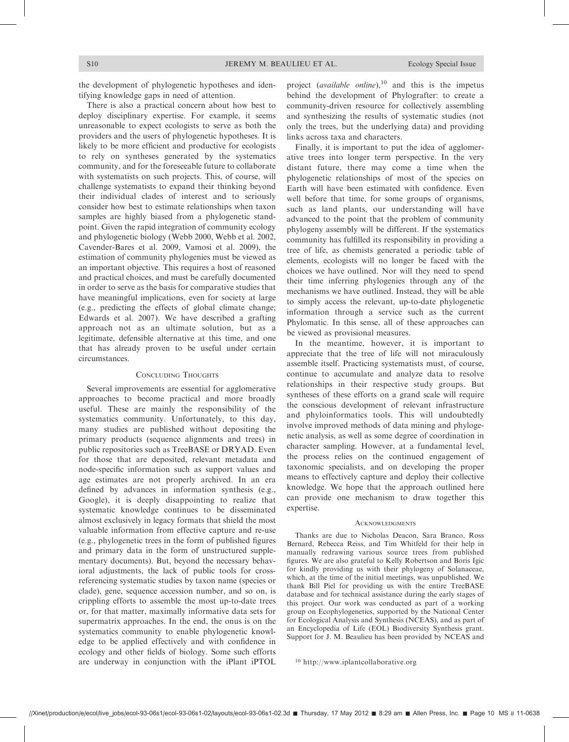the development of phylogenetic hypotheses and identifying knowledge gaps in need of attention.

There is also a practical concern about how best to deploy disciplinary expertise. For example, it seems unreasonable to expect ecologists to serve as both the providers and the users of phylogenetic hypotheses. It is likely to be more efficient and productive for ecologists to rely on syntheses generated by the systematics community, and for the foreseeable future to collaborate with systematists on such projects. This, of course, will challenge systematists to expand their thinking beyond their individual clades of interest and to seriously consider how best to estimate relationships when taxon samples are highly biased from a phylogenetic standpoint. Given the rapid integration of community ecology and phylogenetic biology (Webb 2000, Webb et al. 2002, Cavender-Bares et al. 2009, Vamosi et al. 2009), the estimation of community phylogenies must be viewed as an important objective. This requires a host of reasoned and practical choices, and must be carefully documented in order to serve as the basis for comparative studies that have meaningful implications, even for society at large (e.g., predicting the effects of global climate change; Edwards et al. 2007). We have described a grafting approach not as an ultimate solution, but as a legitimate, defensible alternative at this time, and one that has already proven to be useful under certain circumstances.

# CONCLUDING THOUGHTS

Several improvements are essential for agglomerative approaches to become practical and more broadly useful. These are mainly the responsibility of the systematics community. Unfortunately, to this day, many studies are published without depositing the primary products (sequence alignments and trees) in public repositories such as TreeBASE or DRYAD. Even for those that are deposited, relevant metadata and node-specific information such as support values and age estimates are not properly archived. In an era defined by advances in information synthesis (e.g., Google), it is deeply disappointing to realize that systematic knowledge continues to be disseminated almost exclusively in legacy formats that shield the most valuable information from effective capture and re-use (e.g., phylogenetic trees in the form of published figures and primary data in the form of unstructured supplementary documents). But, beyond the necessary behavioral adjustments, the lack of public tools for crossreferencing systematic studies by taxon name (species or clade), gene, sequence accession number, and so on, is crippling efforts to assemble the most up-to-date trees or, for that matter, maximally informative data sets for supermatrix approaches. In the end, the onus is on the systematics community to enable phylogenetic knowledge to be applied effectively and with confidence in ecology and other fields of biology. Some such efforts are underway in conjunction with the iPlant iPTOL project (*available online*),<sup>10</sup> and this is the impetus behind the development of Phylografter: to create a community-driven resource for collectively assembling and synthesizing the results of systematic studies (not only the trees, but the underlying data) and providing links across taxa and characters.

Finally, it is important to put the idea of agglomerative trees into longer term perspective. In the very distant future, there may come a time when the phylogenetic relationships of most of the species on Earth will have been estimated with confidence. Even well before that time, for some groups of organisms, such as land plants, our understanding will have advanced to the point that the problem of community phylogeny assembly will be different. If the systematics community has fulfilled its responsibility in providing a tree of life, as chemists generated a periodic table of elements, ecologists will no longer be faced with the choices we have outlined. Nor will they need to spend their time inferring phylogenies through any of the mechanisms we have outlined. Instead, they will be able to simply access the relevant, up-to-date phylogenetic information through a service such as the current Phylomatic. In this sense, all of these approaches can be viewed as provisional measures.

In the meantime, however, it is important to appreciate that the tree of life will not miraculously assemble itself. Practicing systematists must, of course, continue to accumulate and analyze data to resolve relationships in their respective study groups. But syntheses of these efforts on a grand scale will require the conscious development of relevant infrastructure and phyloinformatics tools. This will undoubtedly involve improved methods of data mining and phylogenetic analysis, as well as some degree of coordination in character sampling. However, at a fundamental level, the process relies on the continued engagement of taxonomic specialists, and on developing the proper means to effectively capture and deploy their collective knowledge. We hope that the approach outlined here can provide one mechanism to draw together this expertise.

### ACKNOWLEDGMENTS

Thanks are due to Nicholas Deacon, Sara Branco, Ross Bernard, Rebecca Reiss, and Tim Whitfeld for their help in manually redrawing various source trees from published figures. We are also grateful to Kelly Robertson and Boris Igic for kindly providing us with their phylogeny of Solanaceae, which, at the time of the initial meetings, was unpublished. We thank Bill Piel for providing us with the entire TreeBASE database and for technical assistance during the early stages of this project. Our work was conducted as part of a working group on Ecophylogenetics, supported by the National Center for Ecological Analysis and Synthesis (NCEAS), and as part of an Encyclopedia of Life (EOL) Biodiversity Synthesis grant. Support for J. M. Beaulieu has been provided by NCEAS and

<sup>10</sup> http://www.iplantcollaborative.org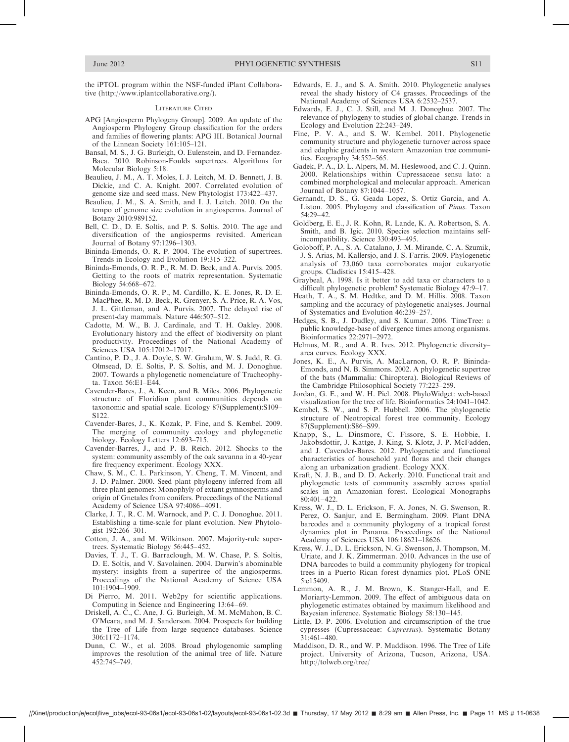the iPTOL program within the NSF-funded iPlant Collaborative (http://www.iplantcollaborative.org/).

### LITERATURE CITED

- APG [Angiosperm Phylogeny Group]. 2009. An update of the Angiosperm Phylogeny Group classification for the orders and families of flowering plants: APG III. Botanical Journal of the Linnean Society 161:105–121.
- Bansal, M. S., J. G. Burleigh, O. Eulenstein, and D. Fernandez-Baca. 2010. Robinson-Foulds supertrees. Algorithms for Molecular Biology 5:18.
- Beaulieu, J. M., A. T. Moles, I. J. Leitch, M. D. Bennett, J. B. Dickie, and C. A. Knight. 2007. Correlated evolution of genome size and seed mass. New Phytologist 173:422–437.
- Beaulieu, J. M., S. A. Smith, and I. J. Leitch. 2010. On the tempo of genome size evolution in angiosperms. Journal of Botany 2010:989152.
- Bell, C. D., D. E. Soltis, and P. S. Soltis. 2010. The age and diversification of the angiosperms revisited. American Journal of Botany 97:1296–1303.
- Bininda-Emonds, O. R. P. 2004. The evolution of supertrees. Trends in Ecology and Evolution 19:315–322.
- Bininda-Emonds, O. R. P., R. M. D. Beck, and A. Purvis. 2005. Getting to the roots of matrix representation. Systematic Biology 54:668–672.
- Bininda-Emonds, O. R. P., M. Cardillo, K. E. Jones, R. D. E. MacPhee, R. M. D. Beck, R. Grenyer, S. A. Price, R. A. Vos, J. L. Gittleman, and A. Purvis. 2007. The delayed rise of present-day mammals. Nature 446:507–512.
- Cadotte, M. W., B. J. Cardinale, and T. H. Oakley. 2008. Evolutionary history and the effect of biodiversity on plant productivity. Proceedings of the National Academy of Sciences USA 105:17012–17017.
- Cantino, P. D., J. A. Doyle, S. W. Graham, W. S. Judd, R. G. Olmsead, D. E. Soltis, P. S. Soltis, and M. J. Donoghue. 2007. Towards a phylogenetic nomenclature of Tracheophyta. Taxon 56:E1–E44.
- Cavender-Bares, J., A. Keen, and B. Miles. 2006. Phylogenetic structure of Floridian plant communities depends on taxonomic and spatial scale. Ecology 87(Supplement):S109– S122.
- Cavender-Bares, J., K. Kozak, P. Fine, and S. Kembel. 2009. The merging of community ecology and phylogenetic biology. Ecology Letters 12:693–715.
- Cavender-Barres, J., and P. B. Reich. 2012. Shocks to the system: community assembly of the oak savanna in a 40-year fire frequency experiment. Ecology XXX.
- Chaw, S. M., C. L. Parkinson, Y. Cheng, T. M. Vincent, and J. D. Palmer. 2000. Seed plant phylogeny inferred from all three plant genomes: Monophyly of extant gymnosperms and origin of Gnetales from conifers. Proceedings of the National Academy of Science USA 97:4086–4091.
- Clarke, J. T., R. C. M. Warnock, and P. C. J. Donoghue. 2011. Establishing a time-scale for plant evolution. New Phytologist 192:266–301.
- Cotton, J. A., and M. Wilkinson. 2007. Majority-rule supertrees. Systematic Biology 56:445–452.
- Davies, T. J., T. G. Barraclough, M. W. Chase, P. S. Soltis, D. E. Soltis, and V. Savolainen. 2004. Darwin's abominable mystery: insights from a supertree of the angiosperms. Proceedings of the National Academy of Science USA 101:1904–1909.
- Di Pierro, M. 2011. Web2py for scientific applications. Computing in Science and Engineering 13:64–69.
- Driskell, A. C., C. Ane, J. G. Burleigh, M. M. McMahon, B. C. O'Meara, and M. J. Sanderson. 2004. Prospects for building the Tree of Life from large sequence databases. Science 306:1172–1174.
- Dunn, C. W., et al. 2008. Broad phylogenomic sampling improves the resolution of the animal tree of life. Nature 452:745–749.
- Edwards, E. J., and S. A. Smith. 2010. Phylogenetic analyses reveal the shady history of C4 grasses. Proceedings of the National Academy of Sciences USA 6:2532–2537.
- Edwards, E. J., C. J. Still, and M. J. Donoghue. 2007. The relevance of phylogeny to studies of global change. Trends in Ecology and Evolution 22:243–249.
- Fine, P. V. A., and S. W. Kembel. 2011. Phylogenetic community structure and phylogenetic turnover across space and edaphic gradients in western Amazonian tree communities. Ecography 34:552–565.
- Gadek, P. A., D. L. Alpers, M. M. Heslewood, and C. J. Quinn. 2000. Relationships within Cupressaceae sensu lato: a combined morphological and molecular approach. American Journal of Botany 87:1044–1057.
- Gernandt, D. S., G. Geada Lopez, S. Ortiz Garcia, and A. Liston. 2005. Phylogeny and classification of Pinus. Taxon 54:29–42.
- Goldberg, E. E., J. R. Kohn, R. Lande, K. A. Robertson, S. A. Smith, and B. Igic. 2010. Species selection maintains selfincompatibility. Science 330:493–495.
- Goloboff, P. A., S. A. Catalano, J. M. Mirande, C. A. Szumik, J. S. Arias, M. Kallersjo, and J. S. Farris. 2009. Phylogenetic analysis of 73,060 taxa corroborates major eukaryotic groups. Cladistics 15:415–428.
- Graybeal, A. 1998. Is it better to add taxa or characters to a difficult phylogenetic problem? Systematic Biology 47:9–17.
- Heath, T. A., S. M. Hedtke, and D. M. Hillis. 2008. Taxon sampling and the accuracy of phylogenetic analyses. Journal of Systematics and Evolution 46:239–257.
- Hedges, S. B., J. Dudley, and S. Kumar. 2006. TimeTree: a public knowledge-base of divergence times among organisms. Bioinformatics 22:2971–2972.
- Helmus, M. R., and A. R. Ives. 2012. Phylogenetic diversity– area curves. Ecology XXX.
- Jones, K. E., A. Purvis, A. MacLarnon, O. R. P. Bininda-Emonds, and N. B. Simmons. 2002. A phylogenetic supertree of the bats (Mammalia: Chiroptera). Biological Reviews of the Cambridge Philosophical Society 77:223–259.
- Jordan, G. E., and W. H. Piel. 2008. PhyloWidget: web-based visualization for the tree of life. Bioinformatics 24:1041–1042.
- Kembel, S. W., and S. P. Hubbell. 2006. The phylogenetic structure of Neotropical forest tree community. Ecology 87(Supplement):S86–S99.
- Knapp, S., L. Dinsmore, C. Fissore, S. E. Hobbie, I. Jakobsdottir, J. Kattge, J. King, S. Klotz, J. P. McFadden, and J. Cavender-Bares. 2012. Phylogenetic and functional characteristics of household yard floras and their changes along an urbanization gradient. Ecology XXX.
- Kraft, N. J. B., and D. D. Ackerly. 2010. Functional trait and phylogenetic tests of community assembly across spatial scales in an Amazonian forest. Ecological Monographs 80:401–422.
- Kress, W. J., D. L. Erickson, F. A. Jones, N. G. Swenson, R. Perez, O. Sanjur, and E. Bermingham. 2009. Plant DNA barcodes and a community phylogeny of a tropical forest dynamics plot in Panama. Proceedings of the National Academy of Sciences USA 106:18621–18626.
- Kress, W. J., D. L. Erickson, N. G. Swenson, J. Thompson, M. Uriate, and J. K. Zimmerman. 2010. Advances in the use of DNA barcodes to build a community phylogeny for tropical trees in a Puerto Rican forest dynamics plot. PLoS ONE 5:e15409.
- Lemmon, A. R., J. M. Brown, K. Stanger-Hall, and E. Moriarty-Lemmon. 2009. The effect of ambiguous data on phylogenetic estimates obtained by maximum likelihood and Bayesian inference. Systematic Biology 58:130–145.
- Little, D. P. 2006. Evolution and circumscription of the true cypresses (Cupressaceae: Cupressus). Systematic Botany 31:461–480.
- Maddison, D. R., and W. P. Maddison. 1996. The Tree of Life project. University of Arizona, Tucson, Arizona, USA. http://tolweb.org/tree/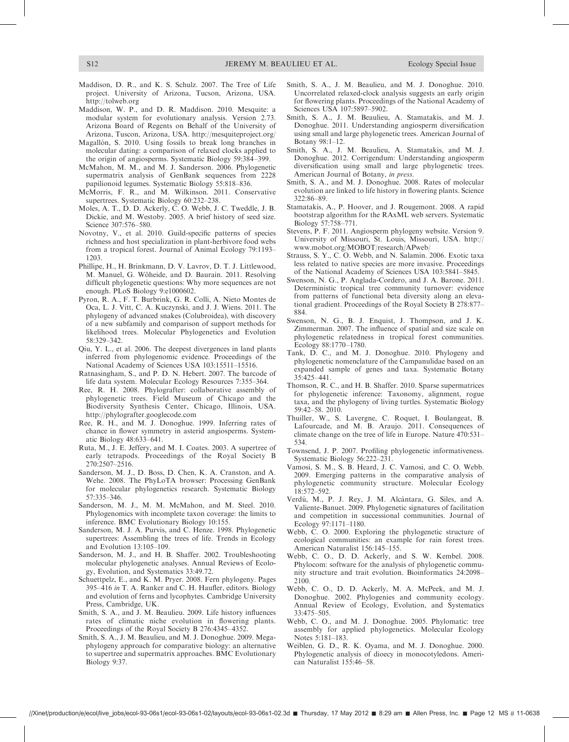- Maddison, D. R., and K. S. Schulz. 2007. The Tree of Life project. University of Arizona, Tucson, Arizona, USA. http://tolweb.org
- Maddison, W. P., and D. R. Maddison. 2010. Mesquite: a modular system for evolutionary analysis. Version 2.73. Arizona Board of Regents on Behalf of the University of Arizona, Tuscon, Arizona, USA. http://mesquiteproject.org/
- Magallón, S. 2010. Using fossils to break long branches in molecular dating: a comparison of relaxed clocks applied to the origin of angiosperms. Systematic Biology 59:384–399.
- McMahon, M. M., and M. J. Sanderson. 2006. Phylogenetic supermatrix analysis of GenBank sequences from 2228 papilionoid legumes. Systematic Biology 55:818–836.
- McMorris, F. R., and M. Wilkinson. 2011. Conservative supertrees. Systematic Biology 60:232–238.
- Moles, A. T., D. D. Ackerly, C. O. Webb, J. C. Tweddle, J. B. Dickie, and M. Westoby. 2005. A brief history of seed size. Science 307:576–580.
- Novotny, V., et al. 2010. Guild-specific patterns of species richness and host specialization in plant-herbivore food webs from a tropical forest. Journal of Animal Ecology 79:1193– 1203.
- Phillipe, H., H. Brinkmann, D. V. Lavrov, D. T. J. Littlewood, M. Manuel, G. Wöheide, and D. Baurain. 2011. Resolving difficult phylogenetic questions: Why more sequences are not enough. PLoS Biology 9:e1000602.
- Pyron, R. A., F. T. Burbrink, G. R. Colli, A. Nieto Montes de Oca, L. J. Vitt, C. A. Kuczynski, and J. J. Wiens. 2011. The phylogeny of advanced snakes (Colubroidea), with discovery of a new subfamily and comparison of support methods for likelihood trees. Molecular Phylogenetics and Evolution 58:329–342.
- Qiu, Y. L., et al. 2006. The deepest divergences in land plants inferred from phylogenomic evidence. Proceedings of the National Academy of Sciences USA 103:15511–15516.
- Ratnasingham, S., and P. D. N. Hebert. 2007. The barcode of life data system. Molecular Ecology Resources 7:355–364.
- Ree, R. H. 2008. Phylografter: collaborative assembly of phylogenetic trees. Field Museum of Chicago and the Biodiversity Synthesis Center, Chicago, Illinois, USA. http://phylografter.googlecode.com
- Ree, R. H., and M. J. Donoghue. 1999. Inferring rates of chance in flower symmetry in asterid angiosperms. Systematic Biology 48:633–641.
- Ruta, M., J. E. Jeffery, and M. I. Coates. 2003. A supertree of early tetrapods. Proceedings of the Royal Society B 270:2507–2516.
- Sanderson, M. J., D. Boss, D. Chen, K. A. Cranston, and A. Wehe. 2008. The PhyLoTA browser: Processing GenBank for molecular phylogenetics research. Systematic Biology 57:335–346.
- Sanderson, M. J., M. M. McMahon, and M. Steel. 2010. Phylogenomics with incomplete taxon coverage: the limits to inference. BMC Evolutionary Biology 10:155.
- Sanderson, M. J. A. Purvis, and C. Henze. 1998. Phylogenetic supertrees: Assembling the trees of life. Trends in Ecology and Evolution 13:105–109.
- Sanderson, M. J., and H. B. Shaffer. 2002. Troubleshooting molecular phylogenetic analyses. Annual Reviews of Ecology, Evolution, and Systematics 33:49.72.
- Schuettpelz, E., and K. M. Pryer. 2008. Fern phylogeny. Pages 395–416 in T. A. Ranker and C. H. Haufler, editors. Biology and evolution of ferns and lycophytes. Cambridge University Press, Cambridge, UK.
- Smith, S. A., and J. M. Beaulieu. 2009. Life history influences rates of climatic niche evolution in flowering plants. Proceedings of the Royal Society B 276:4345–4352.
- Smith, S. A., J. M. Beaulieu, and M. J. Donoghue. 2009. Megaphylogeny approach for comparative biology: an alternative to supertree and supermatrix approaches. BMC Evolutionary Biology 9:37.
- Smith, S. A., J. M. Beaulieu, and M. J. Donoghue. 2010. Uncorrelated relaxed-clock analysis suggests an early origin for flowering plants. Proceedings of the National Academy of Sciences USA 107:5897–5902.
- Smith, S. A., J. M. Beaulieu, A. Stamatakis, and M. J. Donoghue. 2011. Understanding angiosperm diversification using small and large phylogenetic trees. American Journal of Botany 98:1–12.
- Smith, S. A., J. M. Beaulieu, A. Stamatakis, and M. J. Donoghue. 2012. Corrigendum: Understanding angiosperm diversification using small and large phylogenetic trees. American Journal of Botany, in press.
- Smith, S. A., and M. J. Donoghue. 2008. Rates of molecular evolution are linked to life history in flowering plants. Science 322:86–89.
- Stamatakis, A., P. Hoover, and J. Rougemont. 2008. A rapid bootstrap algorithm for the RAxML web servers. Systematic Biology 57:758–771.
- Stevens, P. F. 2011. Angiosperm phylogeny website. Version 9. University of Missouri, St. Louis, Missouri, USA. http:// www.mobot.org/MOBOT/research/APweb/
- Strauss, S. Y., C. O. Webb, and N. Salamin. 2006. Exotic taxa less related to native species are more invasive. Proceedings of the National Academy of Sciences USA 103:5841–5845.
- Swenson, N. G., P. Anglada-Cordero, and J. A. Barone. 2011. Deterministic tropical tree community turnover: evidence from patterns of functional beta diversity along an elevational gradient. Proceedings of the Royal Society B 278:877– 884.
- Swenson, N. G., B. J. Enquist, J. Thompson, and J. K. Zimmerman. 2007. The influence of spatial and size scale on phylogenetic relatedness in tropical forest communities. Ecology 88:1770–1780.
- Tank, D. C., and M. J. Donoghue. 2010. Phylogeny and phylogenetic nomenclature of the Campanulidae based on an expanded sample of genes and taxa. Systematic Botany 35:425–441.
- Thomson, R. C., and H. B. Shaffer. 2010. Sparse supermatrices for phylogenetic inference: Taxonomy, alignment, rogue taxa, and the phylogeny of living turtles. Systematic Biology 59:42–58. 2010.
- Thuiller, W., S. Lavergne, C. Roquet, I. Boulangeat, B. Lafourcade, and M. B. Araujo. 2011. Consequences of climate change on the tree of life in Europe. Nature 470:531– 534.
- Townsend, J. P. 2007. Profiling phylogenetic informativeness. Systematic Biology 56:222–231.
- Vamosi, S. M., S. B. Heard, J. C. Vamosi, and C. O. Webb. 2009. Emerging patterns in the comparative analysis of phylogenetic community structure. Molecular Ecology 18:572–592.
- Verdú, M., P. J. Rey, J. M. Alcántara, G. Siles, and A. Valiente-Banuet. 2009. Phylogenetic signatures of facilitation and competition in successional communities. Journal of Ecology 97:1171–1180.
- Webb, C. O. 2000. Exploring the phylogenetic structure of ecological communities: an example for rain forest trees. American Naturalist 156:145–155.
- Webb, C. O., D. D. Ackerly, and S. W. Kembel. 2008. Phylocom: software for the analysis of phylogenetic community structure and trait evolution. Bioinformatics 24:2098– 2100.
- Webb, C. O., D. D. Ackerly, M. A. McPeek, and M. J. Donoghue. 2002. Phylogenies and community ecology. Annual Review of Ecology, Evolution, and Systematics 33:475–505.
- Webb, C. O., and M. J. Donoghue. 2005. Phylomatic: tree assembly for applied phylogenetics. Molecular Ecology Notes 5:181–183.
- Weiblen, G. D., R. K. Oyama, and M. J. Donoghue. 2000. Phylogenetic analysis of dioecy in monocotyledons. American Naturalist 155:46–58.